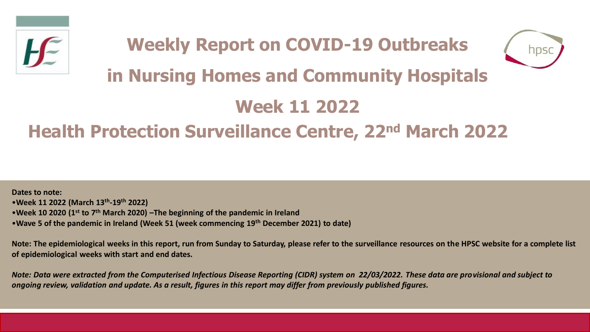



# **in Nursing Homes and Community Hospitals**

# **Week 11 2022**

# **Health Protection Surveillance Centre, 22nd March 2022**

**Dates to note:** •**Week 11 2022 (March 13th -19th 2022)** •**Week 10 2020 (1st to 7th March 2020) –The beginning of the pandemic in Ireland**  •**Wave 5 of the pandemic in Ireland (Week 51 (week commencing 19th December 2021) to date)**

**Note: The epidemiological weeks in this report, run from Sunday to Saturday, please refer to the surveillance resources on the HPSC website for a complete list of epidemiological weeks with start and end dates.**

*Note: Data were extracted from the Computerised Infectious Disease Reporting (CIDR) system on 22/03/2022. These data are provisional and subject to ongoing review, validation and update. As a result, figures in this report may differ from previously published figures.*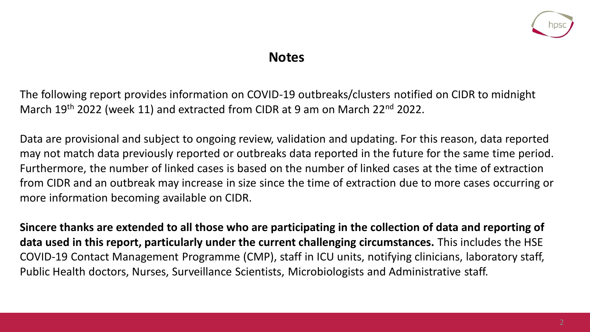

### **Notes**

The following report provides information on COVID-19 outbreaks/clusters notified on CIDR to midnight March 19<sup>th</sup> 2022 (week 11) and extracted from CIDR at 9 am on March 22<sup>nd</sup> 2022.

Data are provisional and subject to ongoing review, validation and updating. For this reason, data reported may not match data previously reported or outbreaks data reported in the future for the same time period. Furthermore, the number of linked cases is based on the number of linked cases at the time of extraction from CIDR and an outbreak may increase in size since the time of extraction due to more cases occurring or more information becoming available on CIDR.

**Sincere thanks are extended to all those who are participating in the collection of data and reporting of data used in this report, particularly under the current challenging circumstances.** This includes the HSE COVID-19 Contact Management Programme (CMP), staff in ICU units, notifying clinicians, laboratory staff, Public Health doctors, Nurses, Surveillance Scientists, Microbiologists and Administrative staff.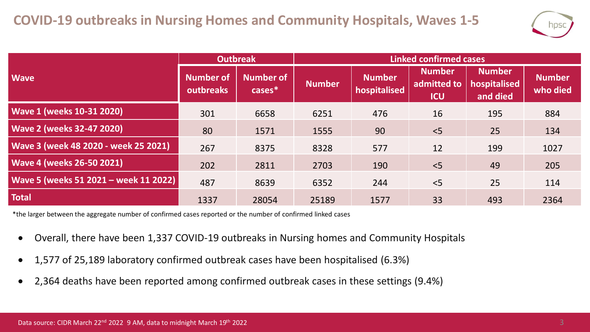

|                                       | <b>Outbreak</b>        |                               | <b>Linked confirmed cases</b> |                               |                                            |                                           |                           |  |
|---------------------------------------|------------------------|-------------------------------|-------------------------------|-------------------------------|--------------------------------------------|-------------------------------------------|---------------------------|--|
| <b>Wave</b>                           | Number of<br>outbreaks | <b>Number of</b><br>$cases^*$ | <b>Number</b>                 | <b>Number</b><br>hospitalised | <b>Number</b><br>admitted to<br><b>ICU</b> | <b>Number</b><br>hospitalised<br>and died | <b>Number</b><br>who died |  |
| <b>Wave 1 (weeks 10-31 2020)</b>      | 301                    | 6658                          | 6251                          | 476                           | 16                                         | 195                                       | 884                       |  |
| <b>Wave 2 (weeks 32-47 2020)</b>      | 80                     | 1571                          | 1555                          | 90                            | $<$ 5                                      | 25                                        | 134                       |  |
| Wave 3 (week 48 2020 - week 25 2021)  | 267                    | 8375                          | 8328                          | 577                           | 12                                         | 199                                       | 1027                      |  |
| <b>Wave 4 (weeks 26-50 2021)</b>      | 202                    | 2811                          | 2703                          | 190                           | $<$ 5                                      | 49                                        | 205                       |  |
| Wave 5 (weeks 51 2021 - week 11 2022) | 487                    | 8639                          | 6352                          | 244                           | $<$ 5                                      | 25                                        | 114                       |  |
| <b>Total</b>                          | 1337                   | 28054                         | 25189                         | 1577                          | 33                                         | 493                                       | 2364                      |  |

\*the larger between the aggregate number of confirmed cases reported or the number of confirmed linked cases

- Overall, there have been 1,337 COVID-19 outbreaks in Nursing homes and Community Hospitals
- 1,577 of 25,189 laboratory confirmed outbreak cases have been hospitalised (6.3%)
- 2,364 deaths have been reported among confirmed outbreak cases in these settings (9.4%)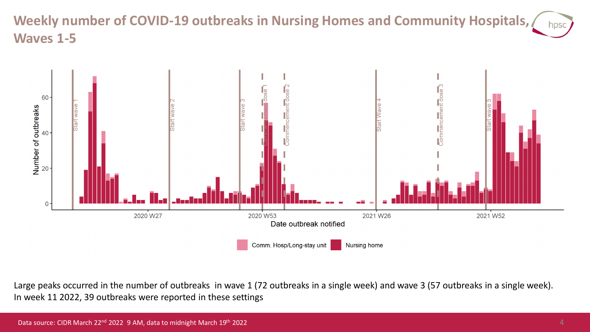#### **Weekly number of COVID-19 outbreaks in Nursing Homes and Community Hospitals,**  hpsc **Waves 1-5**



Large peaks occurred in the number of outbreaks in wave 1 (72 outbreaks in a single week) and wave 3 (57 outbreaks in a single week). In week 11 2022, 39 outbreaks were reported in these settings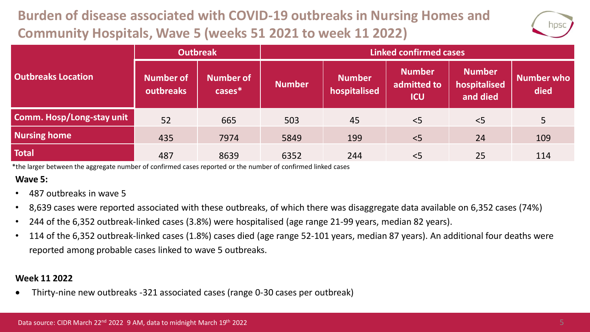# **Burden of disease associated with COVID-19 outbreaks in Nursing Homes and Community Hospitals, Wave 5 (weeks 51 2021 to week 11 2022)**



|                                  | <b>Outbreak</b>        |                               | <b>Linked confirmed cases</b> |                               |                                            |                                           |                    |  |
|----------------------------------|------------------------|-------------------------------|-------------------------------|-------------------------------|--------------------------------------------|-------------------------------------------|--------------------|--|
| <b>Outbreaks Location</b>        | Number of<br>outbreaks | <b>Number of</b><br>$cases^*$ | <b>Number</b>                 | <b>Number</b><br>hospitalised | <b>Number</b><br>admitted to<br><b>ICU</b> | <b>Number</b><br>hospitalised<br>and died | Number who<br>died |  |
| <b>Comm. Hosp/Long-stay unit</b> | 52                     | 665                           | 503                           | 45                            | < 5                                        | < 5                                       | 5                  |  |
| <b>Nursing home</b>              | 435                    | 7974                          | 5849                          | 199                           | < 5                                        | 24                                        | 109                |  |
| <b>Total</b>                     | 487                    | 8639                          | 6352                          | 244                           | < 5                                        | 25                                        | 114                |  |

\*the larger between the aggregate number of confirmed cases reported or the number of confirmed linked cases

#### **Wave 5:**

- 487 outbreaks in wave 5
- 8,639 cases were reported associated with these outbreaks, of which there was disaggregate data available on 6,352 cases (74%)
- 244 of the 6,352 outbreak-linked cases (3.8%) were hospitalised (age range 21-99 years, median 82 years).
- 114 of the 6,352 outbreak-linked cases (1.8%) cases died (age range 52-101 years, median 87 years). An additional four deaths were reported among probable cases linked to wave 5 outbreaks.

#### **Week 11 2022**

• Thirty-nine new outbreaks -321 associated cases (range 0-30 cases per outbreak)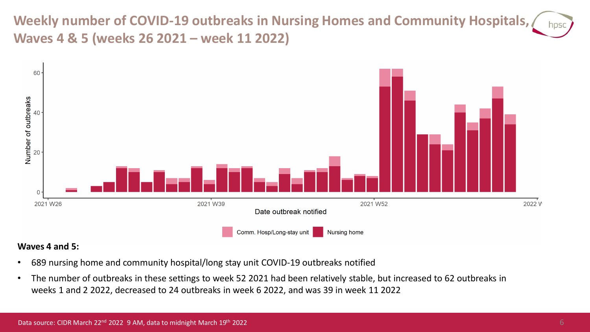**Weekly number of COVID-19 outbreaks in Nursing Homes and Community Hospitals, Waves 4 & 5 (weeks 26 2021 – week 11 2022)**



#### **Waves 4 and 5:**

- 689 nursing home and community hospital/long stay unit COVID-19 outbreaks notified
- The number of outbreaks in these settings to week 52 2021 had been relatively stable, but increased to 62 outbreaks in weeks 1 and 2 2022, decreased to 24 outbreaks in week 6 2022, and was 39 in week 11 2022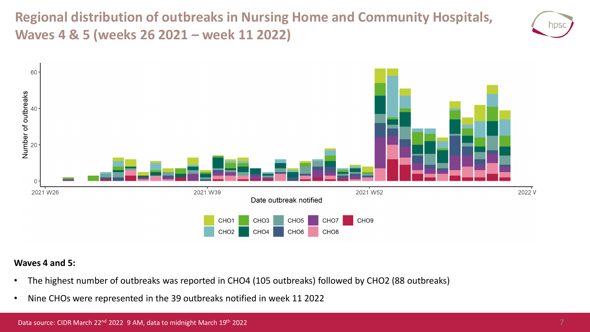**Regional distribution of outbreaks in Nursing Home and Community Hospitals, Waves 4 & 5 (weeks 26 2021 – week 11 2022)**





#### **Waves 4 and 5:**

- The highest number of outbreaks was reported in CHO4 (105 outbreaks) followed by CHO2 (88 outbreaks)
- Nine CHOs were represented in the 39 outbreaks notified in week 11 2022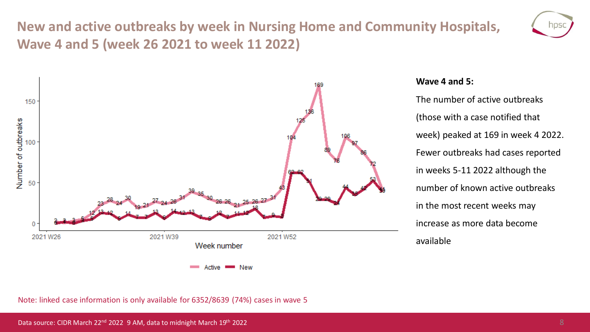## **New and active outbreaks by week in Nursing Home and Community Hospitals, Wave 4 and 5 (week 26 2021 to week 11 2022)**





#### **Wave 4 and 5:**

The number of active outbreaks (those with a case notified that week) peaked at 169 in week 4 2022. Fewer outbreaks had cases reported in weeks 5-11 2022 although the number of known active outbreaks in the most recent weeks may increase as more data become available

Note: linked case information is only available for 6352/8639 (74%) cases in wave 5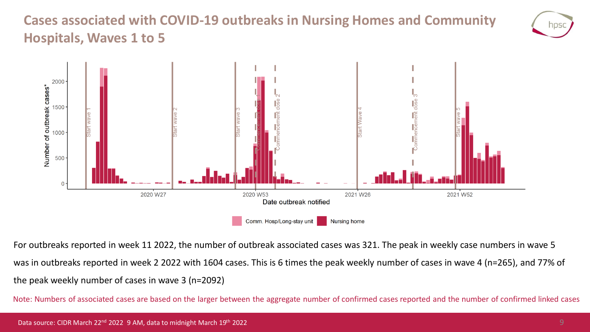### **Cases associated with COVID-19 outbreaks in Nursing Homes and Community Hospitals, Waves 1 to 5**





For outbreaks reported in week 11 2022, the number of outbreak associated cases was 321. The peak in weekly case numbers in wave 5 was in outbreaks reported in week 2 2022 with 1604 cases. This is 6 times the peak weekly number of cases in wave 4 (n=265), and 77% of the peak weekly number of cases in wave 3 (n=2092)

Note: Numbers of associated cases are based on the larger between the aggregate number of confirmed cases reported and the number of confirmed linked cases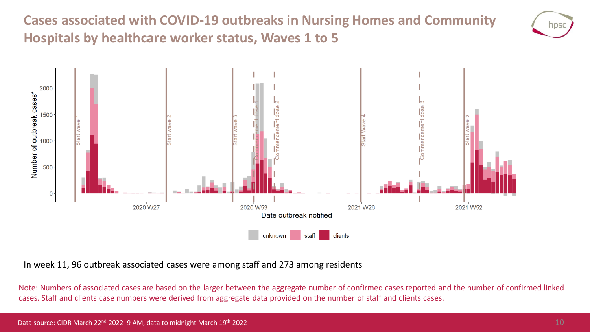**Cases associated with COVID-19 outbreaks in Nursing Homes and Community Hospitals by healthcare worker status, Waves 1 to 5**





In week 11, 96 outbreak associated cases were among staff and 273 among residents

Note: Numbers of associated cases are based on the larger between the aggregate number of confirmed cases reported and the number of confirmed linked cases. Staff and clients case numbers were derived from aggregate data provided on the number of staff and clients cases.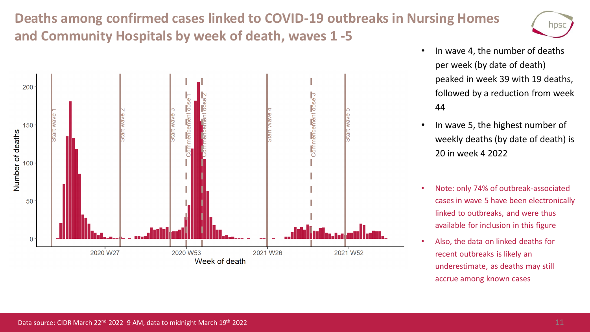## **Deaths among confirmed cases linked to COVID-19 outbreaks in Nursing Homes and Community Hospitals by week of death, waves 1 -5**





- In wave 4, the number of deaths per week (by date of death) peaked in week 39 with 19 deaths, followed by a reduction from week 44
- In wave 5, the highest number of weekly deaths (by date of death) is 20 in week 4 2022
- Note: only 74% of outbreak-associated cases in wave 5 have been electronically linked to outbreaks, and were thus available for inclusion in this figure
- Also, the data on linked deaths for recent outbreaks is likely an underestimate, as deaths may still accrue among known cases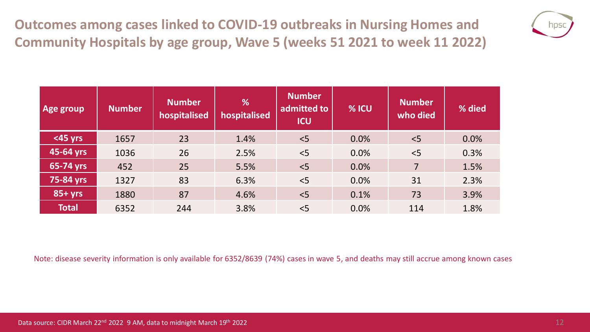**Outcomes among cases linked to COVID-19 outbreaks in Nursing Homes and Community Hospitals by age group, Wave 5 (weeks 51 2021 to week 11 2022)**



| Age group     | <b>Number</b> | <b>Number</b><br>hospitalised | %<br>hospitalised | <b>Number</b><br>admitted to<br><b>ICU</b> | % ICU | <b>Number</b><br>who died | % died |
|---------------|---------------|-------------------------------|-------------------|--------------------------------------------|-------|---------------------------|--------|
| <45 yrs       | 1657          | 23                            | 1.4%              | < 5                                        | 0.0%  | < 5                       | 0.0%   |
| 45-64 yrs     | 1036          | 26                            | 2.5%              | < 5                                        | 0.0%  | $<$ 5                     | 0.3%   |
| $65 - 74$ yrs | 452           | 25                            | 5.5%              | < 5                                        | 0.0%  | $\overline{7}$            | 1.5%   |
| 75-84 yrs     | 1327          | 83                            | 6.3%              | < 5                                        | 0.0%  | 31                        | 2.3%   |
| $85+yrs$      | 1880          | 87                            | 4.6%              | < 5                                        | 0.1%  | 73                        | 3.9%   |
| <b>Total</b>  | 6352          | 244                           | 3.8%              | < 5                                        | 0.0%  | 114                       | 1.8%   |

Note: disease severity information is only available for 6352/8639 (74%) cases in wave 5, and deaths may still accrue among known cases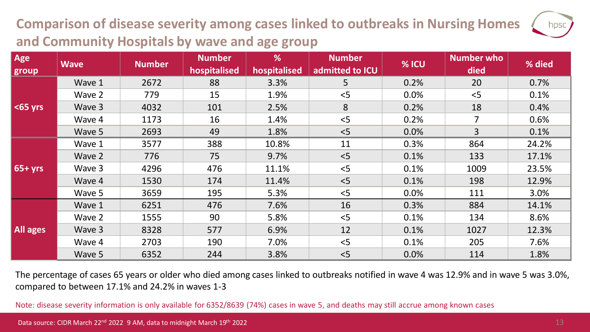## **Comparison of disease severity among cases linked to outbreaks in Nursing Homes and Community Hospitals by wave and age group**

| Age<br>group    | <b>Wave</b> | <b>Number</b> | <b>Number</b><br>hospitalised | %<br>hospitalised | <b>Number</b><br>admitted to ICU | % ICU | Number who<br>died | % died |
|-----------------|-------------|---------------|-------------------------------|-------------------|----------------------------------|-------|--------------------|--------|
| $\leq$ 65 yrs   | Wave 1      | 2672          | 88                            | 3.3%              | 5                                | 0.2%  | 20                 | 0.7%   |
|                 | Wave 2      | 779           | 15                            | 1.9%              | < 5                              | 0.0%  | < 5                | 0.1%   |
|                 | Wave 3      | 4032          | 101                           | 2.5%              | 8                                | 0.2%  | 18                 | 0.4%   |
|                 | Wave 4      | 1173          | 16                            | 1.4%              | < 5                              | 0.2%  | 7                  | 0.6%   |
|                 | Wave 5      | 2693          | 49                            | 1.8%              | < 5                              | 0.0%  | $\mathbf{3}$       | 0.1%   |
| $65 + yrs$      | Wave 1      | 3577          | 388                           | 10.8%             | 11                               | 0.3%  | 864                | 24.2%  |
|                 | Wave 2      | 776           | 75                            | 9.7%              | < 5                              | 0.1%  | 133                | 17.1%  |
|                 | Wave 3      | 4296          | 476                           | 11.1%             | < 5                              | 0.1%  | 1009               | 23.5%  |
|                 | Wave 4      | 1530          | 174                           | 11.4%             | < 5                              | 0.1%  | 198                | 12.9%  |
|                 | Wave 5      | 3659          | 195                           | 5.3%              | < 5                              | 0.0%  | 111                | 3.0%   |
| <b>All ages</b> | Wave 1      | 6251          | 476                           | 7.6%              | 16                               | 0.3%  | 884                | 14.1%  |
|                 | Wave 2      | 1555          | 90                            | 5.8%              | < 5                              | 0.1%  | 134                | 8.6%   |
|                 | Wave 3      | 8328          | 577                           | 6.9%              | 12                               | 0.1%  | 1027               | 12.3%  |
|                 | Wave 4      | 2703          | 190                           | 7.0%              | < 5                              | 0.1%  | 205                | 7.6%   |
|                 | Wave 5      | 6352          | 244                           | 3.8%              | < 5                              | 0.0%  | 114                | 1.8%   |

The percentage of cases 65 years or older who died among cases linked to outbreaks notified in wave 4 was 12.9% and in wave 5 was 3.0%, compared to between 17.1% and 24.2% in waves 1-3

Note: disease severity information is only available for 6352/8639 (74%) cases in wave 5, and deaths may still accrue among known cases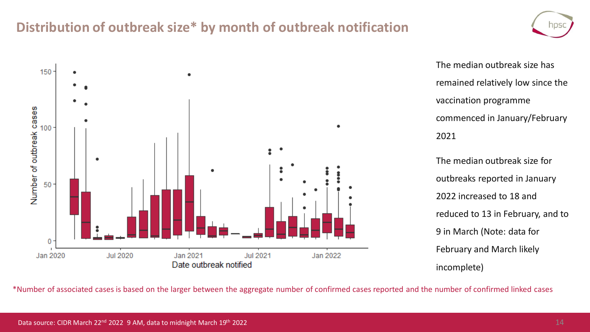### **Distribution of outbreak size\* by month of outbreak notification**



The median outbreak size has remained relatively low since the vaccination programme commenced in January/February 2021

The median outbreak size for outbreaks reported in January 2022 increased to 18 and reduced to 13 in February, and to 9 in March (Note: data for February and March likely incomplete)

\*Number of associated cases is based on the larger between the aggregate number of confirmed cases reported and the number of confirmed linked cases

NDS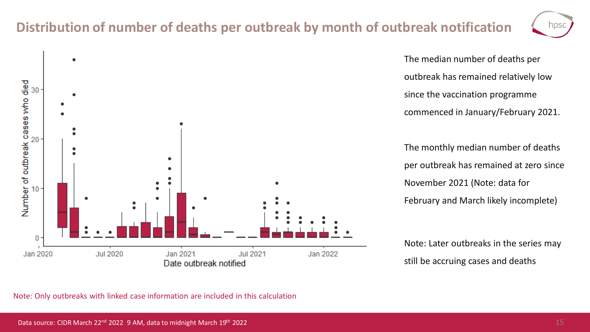### **Distribution of number of deaths per outbreak by month of outbreak notification**

**Jul 2021** 

Jan 2022



The median number of deaths per outbreak has remained relatively low since the vaccination programme commenced in January/February 2021.

The monthly median number of deaths per outbreak has remained at zero since November 2021 (Note: data for February and March likely incomplete)

Note: Later outbreaks in the series may still be accruing cases and deaths



Jan 2021

Date outbreak notified

**Jul 2020** 

Number of outbreak cases who died<br>asses who died  $20<sup>°</sup>$ 

 $\mathbf{0}$ 

Jan 2020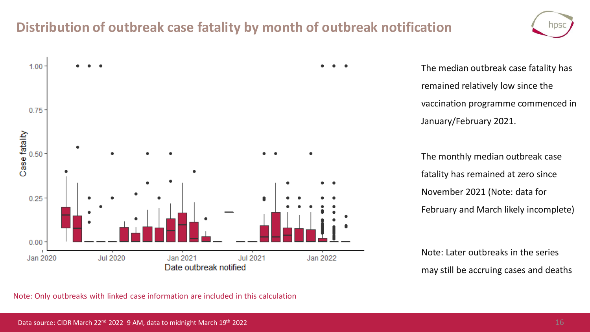### **Distribution of outbreak case fatality by month of outbreak notification**





The median outbreak case fatality has remained relatively low since the vaccination programme commenced in January/February 2021.

The monthly median outbreak case fatality has remained at zero since November 2021 (Note: data for February and March likely incomplete)

Note: Later outbreaks in the series may still be accruing cases and deaths

Note: Only outbreaks with linked case information are included in this calculation